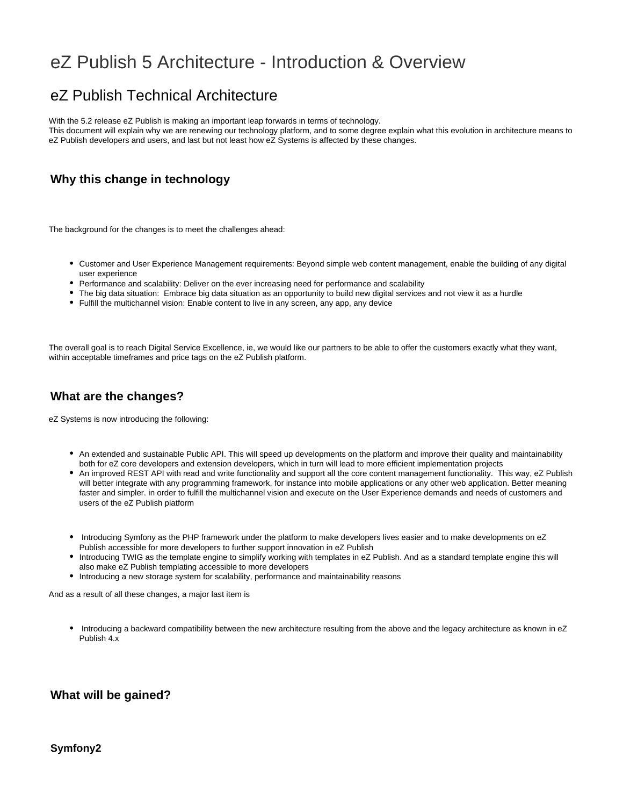# eZ Publish 5 Architecture - Introduction & Overview

## eZ Publish Technical Architecture

With the 5.2 release eZ Publish is making an important leap forwards in terms of technology.

This document will explain why we are renewing our technology platform, and to some degree explain what this evolution in architecture means to eZ Publish developers and users, and last but not least how eZ Systems is affected by these changes.

## **Why this change in technology**

The background for the changes is to meet the challenges ahead:

- Customer and User Experience Management requirements: Beyond simple web content management, enable the building of any digital user experience
- Performance and scalability: Deliver on the ever increasing need for performance and scalability
- The big data situation: Embrace big data situation as an opportunity to build new digital services and not view it as a hurdle
- Fulfill the multichannel vision: Enable content to live in any screen, any app, any device

The overall goal is to reach Digital Service Excellence, ie, we would like our partners to be able to offer the customers exactly what they want, within acceptable timeframes and price tags on the eZ Publish platform.

## **What are the changes?**

eZ Systems is now introducing the following:

- An extended and sustainable Public API. This will speed up developments on the platform and improve their quality and maintainability both for eZ core developers and extension developers, which in turn will lead to more efficient implementation projects
- An improved REST API with read and write functionality and support all the core content management functionality. This way, eZ Publish will better integrate with any programming framework, for instance into mobile applications or any other web application. Better meaning faster and simpler. in order to fulfill the multichannel vision and execute on the User Experience demands and needs of customers and users of the eZ Publish platform
- Introducing Symfony as the PHP framework under the platform to make developers lives easier and to make developments on eZ Publish accessible for more developers to further support innovation in eZ Publish
- Introducing TWIG as the template engine to simplify working with templates in eZ Publish. And as a standard template engine this will also make eZ Publish templating accessible to more developers
- Introducing a new storage system for scalability, performance and maintainability reasons

And as a result of all these changes, a major last item is

Introducing a backward compatibility between the new architecture resulting from the above and the legacy architecture as known in eZ Publish 4.x

## **What will be gained?**

#### **Symfony2**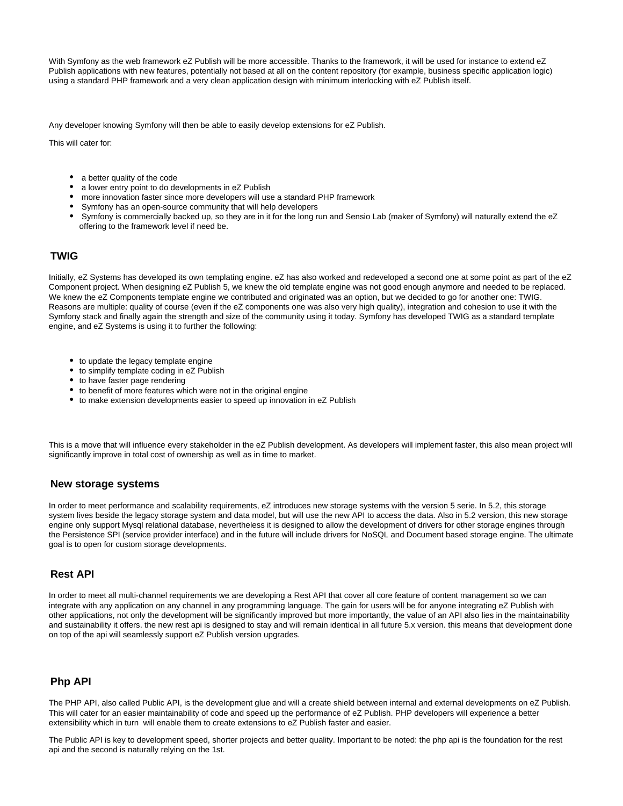With Symfony as the web framework eZ Publish will be more accessible. Thanks to the framework, it will be used for instance to extend eZ Publish applications with new features, potentially not based at all on the content repository (for example, business specific application logic) using a standard PHP framework and a very clean application design with minimum interlocking with eZ Publish itself.

Any developer knowing Symfony will then be able to easily develop extensions for eZ Publish.

This will cater for:

- a better quality of the code
- a lower entry point to do developments in eZ Publish
- more innovation faster since more developers will use a standard PHP framework
- Symfony has an open-source community that will help developers
- Symfony is commercially backed up, so they are in it for the long run and Sensio Lab (maker of Symfony) will naturally extend the eZ offering to the framework level if need be.

#### **TWIG**

Initially, eZ Systems has developed its own templating engine. eZ has also worked and redeveloped a second one at some point as part of the eZ Component project. When designing eZ Publish 5, we knew the old template engine was not good enough anymore and needed to be replaced. We knew the eZ Components template engine we contributed and originated was an option, but we decided to go for another one: TWIG. Reasons are multiple: quality of course (even if the eZ components one was also very high quality), integration and cohesion to use it with the Symfony stack and finally again the strength and size of the community using it today. Symfony has developed TWIG as a standard template engine, and eZ Systems is using it to further the following:

- to update the legacy template engine
- to simplify template coding in eZ Publish
- to have faster page rendering
- to benefit of more features which were not in the original engine
- to make extension developments easier to speed up innovation in eZ Publish

This is a move that will influence every stakeholder in the eZ Publish development. As developers will implement faster, this also mean project will significantly improve in total cost of ownership as well as in time to market.

#### **New storage systems**

In order to meet performance and scalability requirements, eZ introduces new storage systems with the version 5 serie. In 5.2, this storage system lives beside the legacy storage system and data model, but will use the new API to access the data. Also in 5.2 version, this new storage engine only support Mysql relational database, nevertheless it is designed to allow the development of drivers for other storage engines through the Persistence SPI (service provider interface) and in the future will include drivers for NoSQL and Document based storage engine. The ultimate goal is to open for custom storage developments.

#### **Rest API**

In order to meet all multi-channel requirements we are developing a Rest API that cover all core feature of content management so we can integrate with any application on any channel in any programming language. The gain for users will be for anyone integrating eZ Publish with other applications, not only the development will be significantly improved but more importantly, the value of an API also lies in the maintainability and sustainability it offers. the new rest api is designed to stay and will remain identical in all future 5.x version. this means that development done on top of the api will seamlessly support eZ Publish version upgrades.

#### **Php API**

The PHP API, also called Public API, is the development glue and will a create shield between internal and external developments on eZ Publish. This will cater for an easier maintainability of code and speed up the performance of eZ Publish. PHP developers will experience a better extensibility which in turn will enable them to create extensions to eZ Publish faster and easier.

The Public API is key to development speed, shorter projects and better quality. Important to be noted: the php api is the foundation for the rest api and the second is naturally relying on the 1st.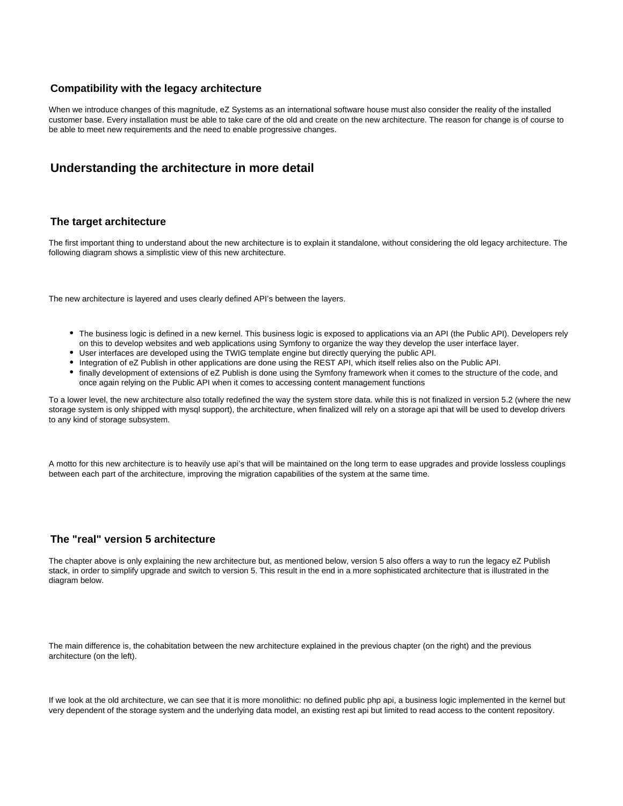#### **Compatibility with the legacy architecture**

When we introduce changes of this magnitude, eZ Systems as an international software house must also consider the reality of the installed customer base. Every installation must be able to take care of the old and create on the new architecture. The reason for change is of course to be able to meet new requirements and the need to enable progressive changes.

## **Understanding the architecture in more detail**

#### **The target architecture**

The first important thing to understand about the new architecture is to explain it standalone, without considering the old legacy architecture. The following diagram shows a simplistic view of this new architecture.

The new architecture is layered and uses clearly defined API's between the layers.

- The business logic is defined in a new kernel. This business logic is exposed to applications via an API (the Public API). Developers rely on this to develop websites and web applications using Symfony to organize the way they develop the user interface layer.
- User interfaces are developed using the TWIG template engine but directly querying the public API.
- Integration of eZ Publish in other applications are done using the REST API, which itself relies also on the Public API.
- finally development of extensions of eZ Publish is done using the Symfony framework when it comes to the structure of the code, and once again relying on the Public API when it comes to accessing content management functions

To a lower level, the new architecture also totally redefined the way the system store data. while this is not finalized in version 5.2 (where the new storage system is only shipped with mysql support), the architecture, when finalized will rely on a storage api that will be used to develop drivers to any kind of storage subsystem.

A motto for this new architecture is to heavily use api's that will be maintained on the long term to ease upgrades and provide lossless couplings between each part of the architecture, improving the migration capabilities of the system at the same time.

#### **The "real" version 5 architecture**

The chapter above is only explaining the new architecture but, as mentioned below, version 5 also offers a way to run the legacy eZ Publish stack, in order to simplify upgrade and switch to version 5. This result in the end in a more sophisticated architecture that is illustrated in the diagram below.

The main difference is, the cohabitation between the new architecture explained in the previous chapter (on the right) and the previous architecture (on the left).

If we look at the old architecture, we can see that it is more monolithic: no defined public php api, a business logic implemented in the kernel but very dependent of the storage system and the underlying data model, an existing rest api but limited to read access to the content repository.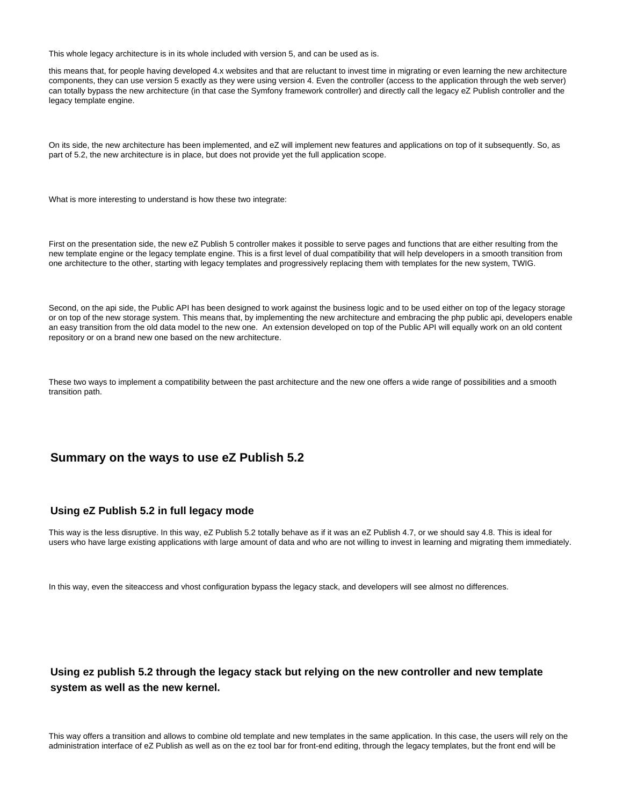This whole legacy architecture is in its whole included with version 5, and can be used as is.

this means that, for people having developed 4.x websites and that are reluctant to invest time in migrating or even learning the new architecture components, they can use version 5 exactly as they were using version 4. Even the controller (access to the application through the web server) can totally bypass the new architecture (in that case the Symfony framework controller) and directly call the legacy eZ Publish controller and the legacy template engine.

On its side, the new architecture has been implemented, and eZ will implement new features and applications on top of it subsequently. So, as part of 5.2, the new architecture is in place, but does not provide yet the full application scope.

What is more interesting to understand is how these two integrate:

First on the presentation side, the new eZ Publish 5 controller makes it possible to serve pages and functions that are either resulting from the new template engine or the legacy template engine. This is a first level of dual compatibility that will help developers in a smooth transition from one architecture to the other, starting with legacy templates and progressively replacing them with templates for the new system, TWIG.

Second, on the api side, the Public API has been designed to work against the business logic and to be used either on top of the legacy storage or on top of the new storage system. This means that, by implementing the new architecture and embracing the php public api, developers enable an easy transition from the old data model to the new one. An extension developed on top of the Public API will equally work on an old content repository or on a brand new one based on the new architecture.

These two ways to implement a compatibility between the past architecture and the new one offers a wide range of possibilities and a smooth transition path.

### **Summary on the ways to use eZ Publish 5.2**

#### **Using eZ Publish 5.2 in full legacy mode**

This way is the less disruptive. In this way, eZ Publish 5.2 totally behave as if it was an eZ Publish 4.7, or we should say 4.8. This is ideal for users who have large existing applications with large amount of data and who are not willing to invest in learning and migrating them immediately.

In this way, even the siteaccess and vhost configuration bypass the legacy stack, and developers will see almost no differences.

## **Using ez publish 5.2 through the legacy stack but relying on the new controller and new template system as well as the new kernel.**

This way offers a transition and allows to combine old template and new templates in the same application. In this case, the users will rely on the administration interface of eZ Publish as well as on the ez tool bar for front-end editing, through the legacy templates, but the front end will be